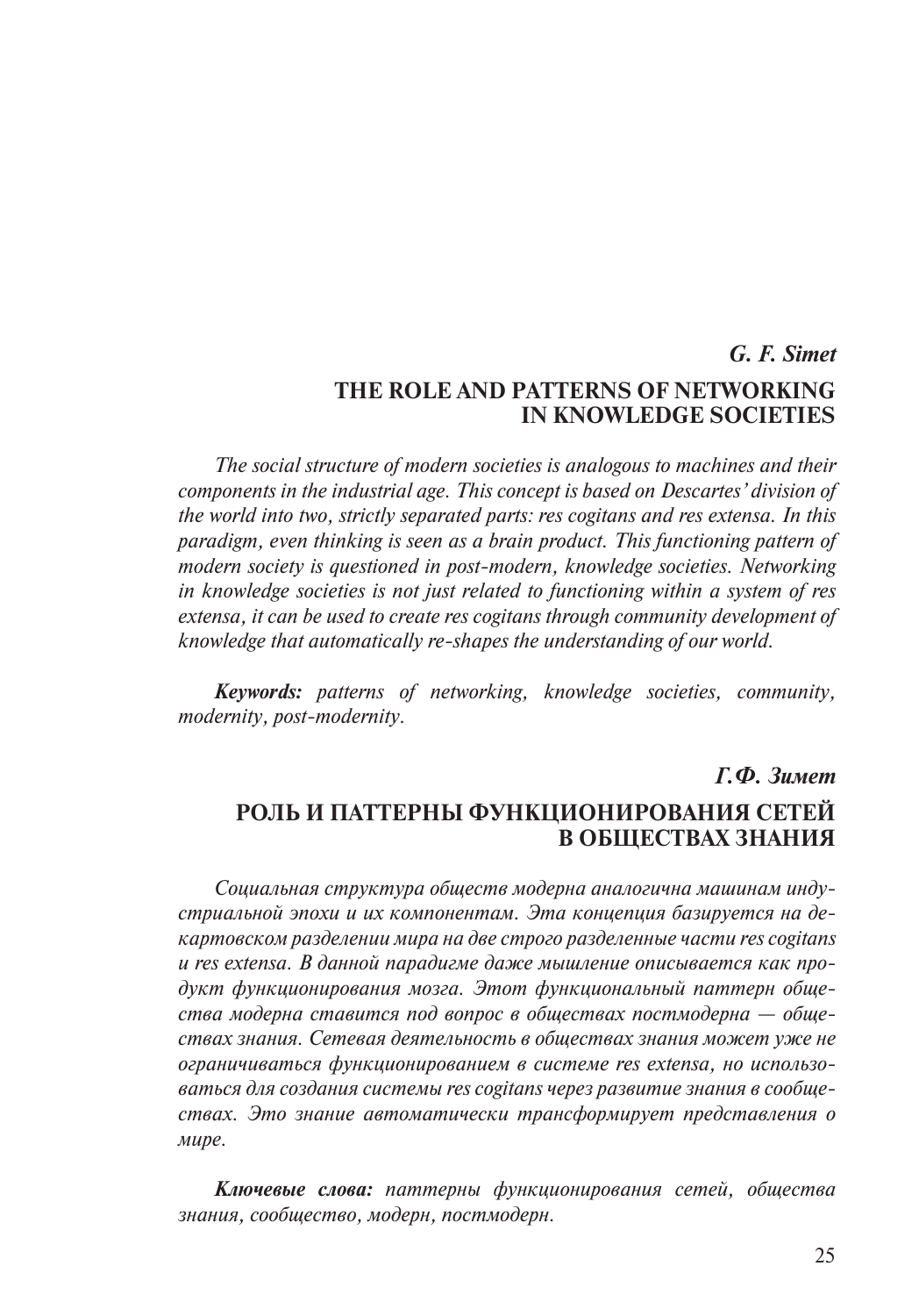# *G. F. Simet* **The Role and Patterns of Networking in Knowledge Societies**

*The social structure of modern societies is analogous to machines and their components in the industrial age. This concept is based on Descartes' division of the world into two, strictly separated parts: res cogitans and res extensa. In this paradigm, even thinking is seen as a brain product. This functioning pattern of modern society is questioned in post-modern, knowledge societies. Networking in knowledge societies is not just related to functioning within a system of res extensa, it can be used to create res cogitans through community development of knowledge that automatically re-shapes the understanding of our world.* 

*Keywords: patterns of networking, knowledge societies, community, modernity, post-modernity.*

# *Г.Ф. Зимет*  **Роль и паттерны функционирования сетей в обществах знания**

*Социальная структура обществ модерна аналогична машинам индустриальной эпохи и их компонентам. Эта концепция базируется на декартовском разделении мира на две строго разделенные части res cogitans и res extensa. В данной парадигме даже мышление описывается как продукт функционирования мозга. Этот функциональный паттерн общества модерна ставится под вопрос в обществах постмодерна — обществах знания. Сетевая деятельность в обществах знания может уже не ограничиваться функционированием в системе res extensa, но использоваться для создания системы res cogitans через развитие знания в сообществах. Это знание автоматически трансформирует представления о мире.*

*Ключевые слова: паттерны функционирования сетей, общества знания, сообщество, модерн, постмодерн.*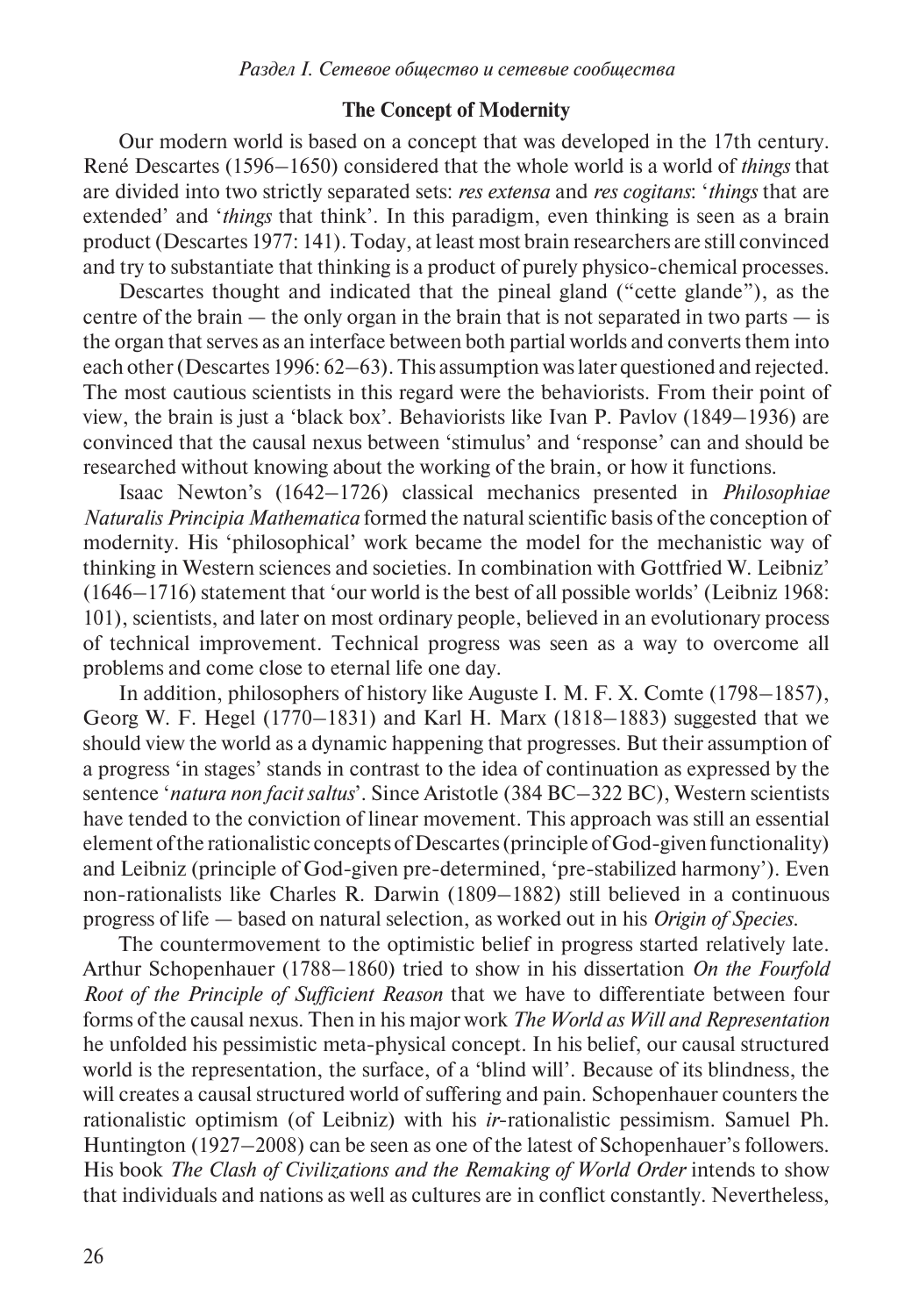# **The Concept of Modernity**

Our modern world is based on a concept that was developed in the 17th century. René Descartes (1596–1650) considered that the whole world is a world of *things* that are divided into two strictly separated sets: *res extensa* and *res cogitans*: '*things* that are extended' and '*things* that think'. In this paradigm, even thinking is seen as a brain product (Descartes 1977: 141). Today, at least most brain researchers are still convinced and try to substantiate that thinking is a product of purely physico-chemical processes.

Descartes thought and indicated that the pineal gland ("cette glande"), as the centre of the brain  $-$  the only organ in the brain that is not separated in two parts  $-$  is the organ that serves as an interface between both partial worlds and converts them into each other (Descartes 1996: 62–63). This assumption was later questioned and rejected. The most cautious scientists in this regard were the behaviorists. From their point of view, the brain is just a 'black box'. Behaviorists like Ivan P. Pavlov (1849–1936) are convinced that the causal nexus between 'stimulus' and 'response' can and should be researched without knowing about the working of the brain, or how it functions.

Isaac Newton's (1642–1726) classical mechanics presented in *Philosophiae Naturalis Principia Mathematica* formed the natural scientific basis of the conception of modernity. His 'philosophical' work became the model for the mechanistic way of thinking in Western sciences and societies. In combination with Gottfried W. Leibniz' (1646–1716) statement that 'our world is the best of all possible worlds' (Leibniz 1968: 101), scientists, and later on most ordinary people, believed in an evolutionary process of technical improvement. Technical progress was seen as a way to overcome all problems and come close to eternal life one day.

In addition, philosophers of history like Auguste I. M. F. X. Comte (1798–1857), Georg W. F. Hegel (1770–1831) and Karl H. Marx (1818–1883) suggested that we should view the world as a dynamic happening that progresses. But their assumption of a progress 'in stages' stands in contrast to the idea of continuation as expressed by the sentence '*natura non facit saltus*'. Since Aristotle (384 BC–322 BC), Western scientists have tended to the conviction of linear movement. This approach was still an essential element of the rationalistic concepts of Descartes (principle of God-given functionality) and Leibniz (principle of God-given pre-determined, 'pre-stabilized harmony'). Even non-rationalists like Charles R. Darwin (1809–1882) still believed in a continuous progress of life — based on natural selection, as worked out in his *Origin of Species*.

The countermovement to the optimistic belief in progress started relatively late. Arthur Schopenhauer (1788–1860) tried to show in his dissertation *On the Fourfold Root of the Principle of Sufficient Reason* that we have to differentiate between four forms of the causal nexus. Then in his major work *The World as Will and Representation* he unfolded his pessimistic meta-physical concept. In his belief, our causal structured world is the representation, the surface, of a 'blind will'. Because of its blindness, the will creates a causal structured world of suffering and pain. Schopenhauer counters the rationalistic optimism (of Leibniz) with his *ir*-rationalistic pessimism. Samuel Ph. Huntington (1927–2008) can be seen as one of the latest of Schopenhauer's followers. His book *The Clash of Civilizations and the Remaking of World Order* intends to show that individuals and nations as well as cultures are in conflict constantly. Nevertheless,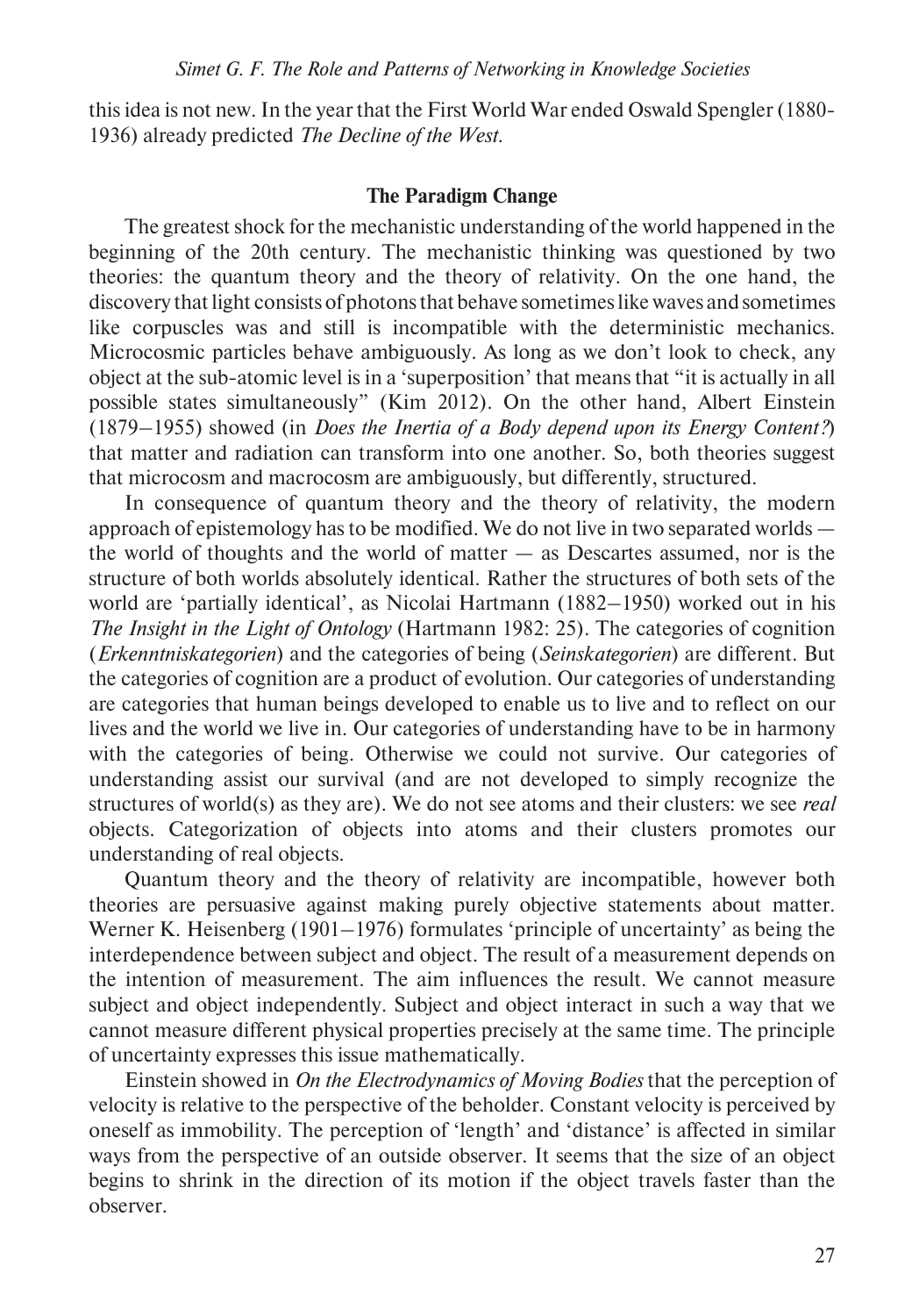this idea is not new. In the year that the First World War ended Oswald Spengler (1880- 1936) already predicted *The Decline of the West*.

## **The Paradigm Change**

The greatest shock for the mechanistic understanding of the world happened in the beginning of the 20th century. The mechanistic thinking was questioned by two theories: the quantum theory and the theory of relativity. On the one hand, the discovery that light consists of photons that behave sometimes like waves and sometimes like corpuscles was and still is incompatible with the deterministic mechanics. Microcosmic particles behave ambiguously. As long as we don't look to check, any object at the sub-atomic level is in a 'superposition' that means that "it is actually in all possible states simultaneously" (Kim 2012). On the other hand, Albert Einstein (1879–1955) showed (in *Does the Inertia of a Body depend upon its Energy Content?*) that matter and radiation can transform into one another. So, both theories suggest that microcosm and macrocosm are ambiguously, but differently, structured.

In consequence of quantum theory and the theory of relativity, the modern approach of epistemology has to be modified. We do not live in two separated worlds the world of thoughts and the world of matter  $-$  as Descartes assumed, nor is the structure of both worlds absolutely identical. Rather the structures of both sets of the world are 'partially identical', as Nicolai Hartmann (1882–1950) worked out in his *The Insight in the Light of Ontology* (Hartmann 1982: 25). The categories of cognition (*Erkenntniskategorien*) and the categories of being (*Seinskategorien*) are different. But the categories of cognition are a product of evolution. Our categories of understanding are categories that human beings developed to enable us to live and to reflect on our lives and the world we live in. Our categories of understanding have to be in harmony with the categories of being. Otherwise we could not survive. Our categories of understanding assist our survival (and are not developed to simply recognize the structures of world(s) as they are). We do not see atoms and their clusters: we see *real* objects. Categorization of objects into atoms and their clusters promotes our understanding of real objects.

Quantum theory and the theory of relativity are incompatible, however both theories are persuasive against making purely objective statements about matter. Werner K. Heisenberg (1901–1976) formulates 'principle of uncertainty' as being the interdependence between subject and object. The result of a measurement depends on the intention of measurement. The aim influences the result. We cannot measure subject and object independently. Subject and object interact in such a way that we cannot measure different physical properties precisely at the same time. The principle of uncertainty expresses this issue mathematically.

Einstein showed in *On the Electrodynamics of Moving Bodies* that the perception of velocity is relative to the perspective of the beholder. Constant velocity is perceived by oneself as immobility. The perception of 'length' and 'distance' is affected in similar ways from the perspective of an outside observer. It seems that the size of an object begins to shrink in the direction of its motion if the object travels faster than the observer.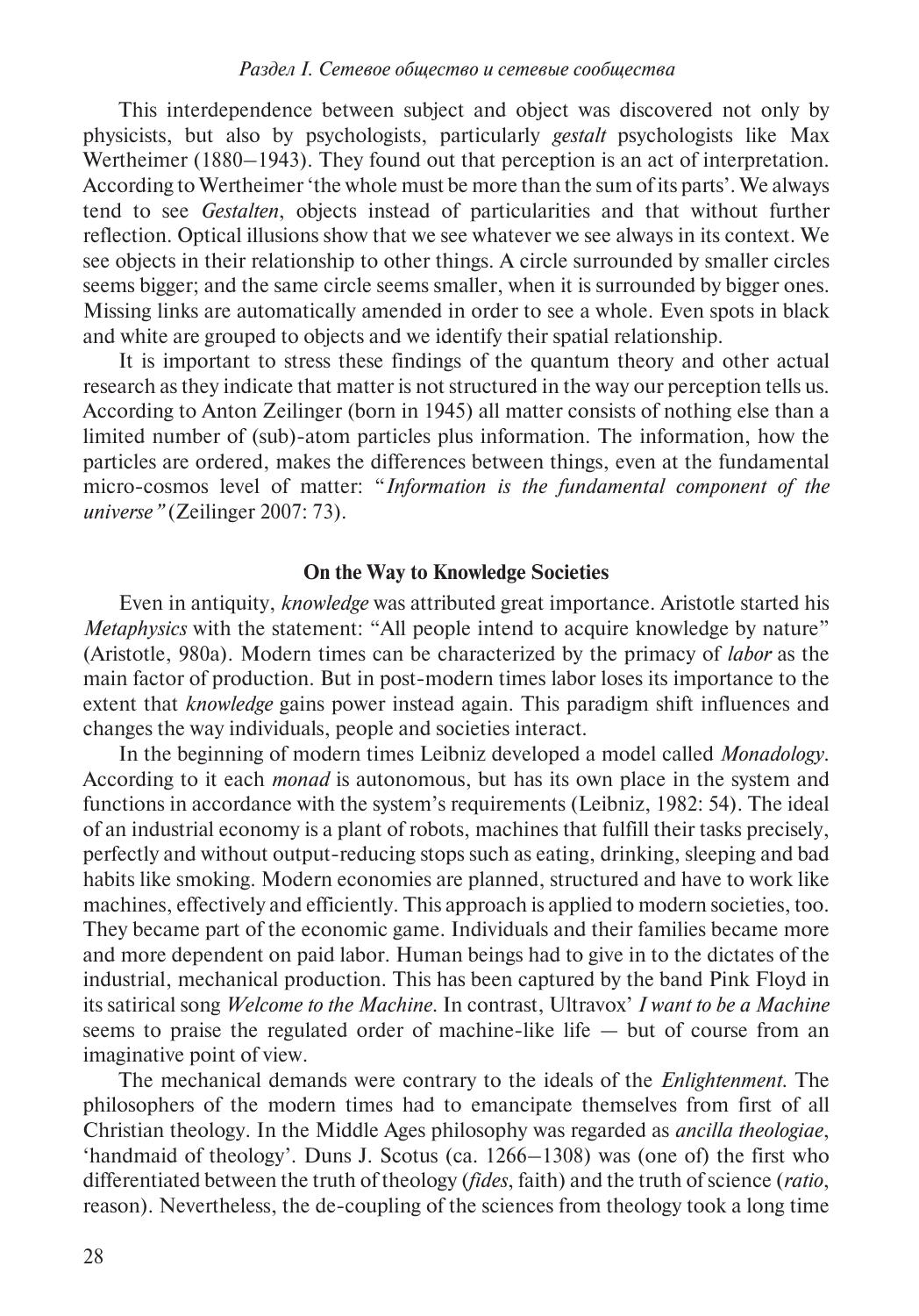This interdependence between subject and object was discovered not only by physicists, but also by psychologists, particularly *gestalt* psychologists like Max Wertheimer (1880–1943). They found out that perception is an act of interpretation. According to Wertheimer 'the whole must be more than the sum of its parts'. We always tend to see *Gestalten*, objects instead of particularities and that without further reflection. Optical illusions show that we see whatever we see always in its context. We see objects in their relationship to other things. A circle surrounded by smaller circles seems bigger; and the same circle seems smaller, when it is surrounded by bigger ones. Missing links are automatically amended in order to see a whole. Even spots in black and white are grouped to objects and we identify their spatial relationship.

It is important to stress these findings of the quantum theory and other actual research as they indicate that matter is not structured in the way our perception tells us. According to Anton Zeilinger (born in 1945) all matter consists of nothing else than a limited number of (sub)-atom particles plus information. The information, how the particles are ordered, makes the differences between things, even at the fundamental micro-cosmos level of matter: "*Information is the fundamental component of the universe"* (Zeilinger 2007: 73).

# **On the Way to Knowledge Societies**

Even in antiquity, *knowledge* was attributed great importance. Aristotle started his *Metaphysics* with the statement: "All people intend to acquire knowledge by nature" (Aristotle, 980a). Modern times can be characterized by the primacy of *labor* as the main factor of production. But in post-modern times labor loses its importance to the extent that *knowledge* gains power instead again. This paradigm shift influences and changes the way individuals, people and societies interact.

In the beginning of modern times Leibniz developed a model called *Monadology*. According to it each *monad* is autonomous, but has its own place in the system and functions in accordance with the system's requirements (Leibniz, 1982: 54). The ideal of an industrial economy is a plant of robots, machines that fulfill their tasks precisely, perfectly and without output-reducing stops such as eating, drinking, sleeping and bad habits like smoking. Modern economies are planned, structured and have to work like machines, effectively and efficiently. This approach is applied to modern societies, too. They became part of the economic game. Individuals and their families became more and more dependent on paid labor. Human beings had to give in to the dictates of the industrial, mechanical production. This has been captured by the band Pink Floyd in its satirical song *Welcome to the Machine*. In contrast, Ultravox' *I want to be a Machine* seems to praise the regulated order of machine-like life — but of course from an imaginative point of view.

The mechanical demands were contrary to the ideals of the *Enlightenment*. The philosophers of the modern times had to emancipate themselves from first of all Christian theology. In the Middle Ages philosophy was regarded as *ancilla theologiae*, 'handmaid of theology'. Duns J. Scotus (ca. 1266–1308) was (one of) the first who differentiated between the truth of theology (*fides*, faith) and the truth of science (*ratio*, reason). Nevertheless, the de-coupling of the sciences from theology took a long time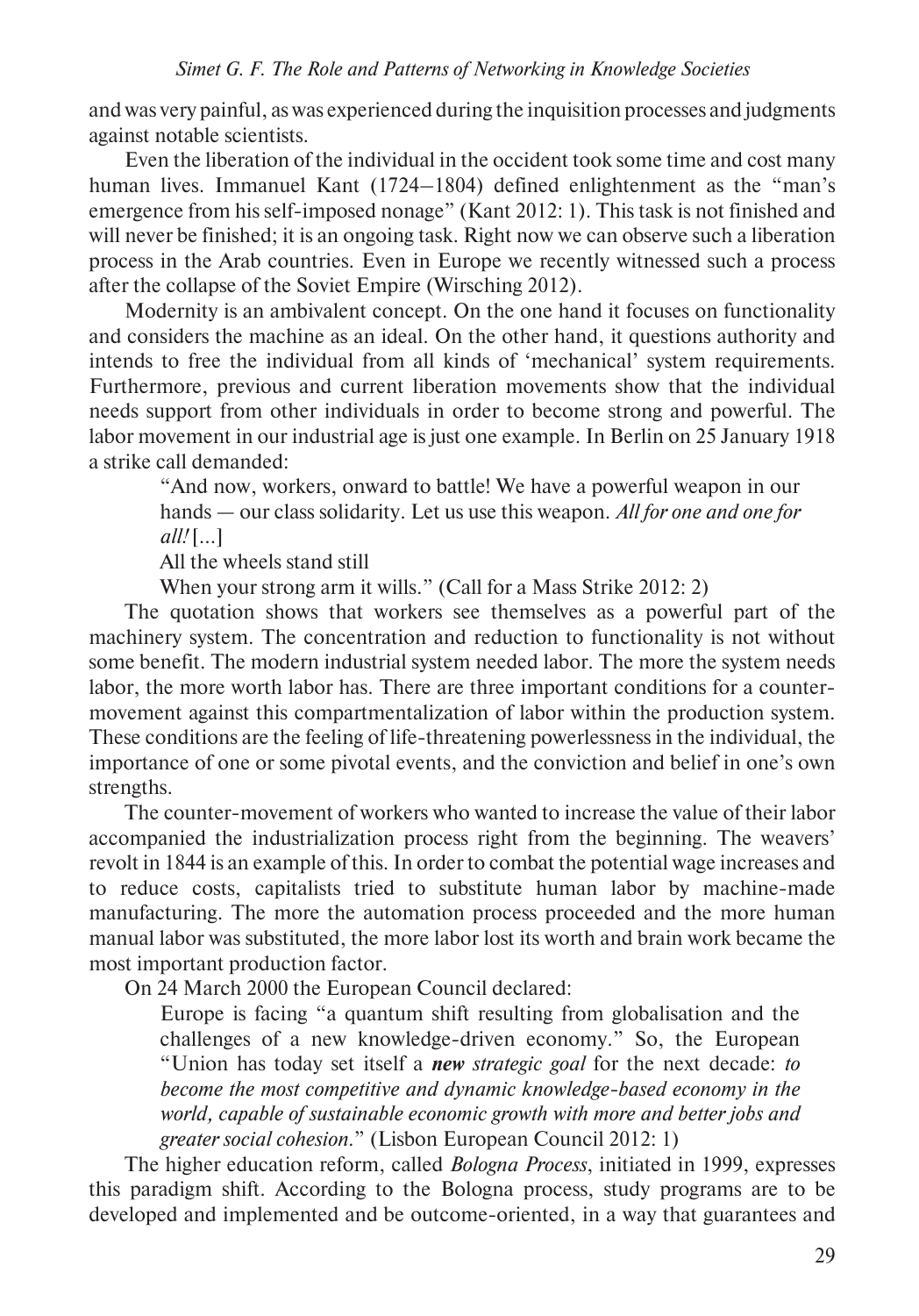and was very painful, as was experienced during the inquisition processes and judgments against notable scientists.

Even the liberation of the individual in the occident took some time and cost many human lives. Immanuel Kant (1724–1804) defined enlightenment as the "man's emergence from his self-imposed nonage" (Kant 2012: 1). This task is not finished and will never be finished; it is an ongoing task. Right now we can observe such a liberation process in the Arab countries. Even in Europe we recently witnessed such a process after the collapse of the Soviet Empire (Wirsching 2012).

Modernity is an ambivalent concept. On the one hand it focuses on functionality and considers the machine as an ideal. On the other hand, it questions authority and intends to free the individual from all kinds of 'mechanical' system requirements. Furthermore, previous and current liberation movements show that the individual needs support from other individuals in order to become strong and powerful. The labor movement in our industrial age is just one example. In Berlin on 25 January 1918 a strike call demanded:

"And now, workers, onward to battle! We have a powerful weapon in our hands — our class solidarity. Let us use this weapon. *All for one and one for*   $all!$  [ $\ldots$ ]

All the wheels stand still

When your strong arm it wills." (Call for a Mass Strike 2012: 2)

The quotation shows that workers see themselves as a powerful part of the machinery system. The concentration and reduction to functionality is not without some benefit. The modern industrial system needed labor. The more the system needs labor, the more worth labor has. There are three important conditions for a countermovement against this compartmentalization of labor within the production system. These conditions are the feeling of life-threatening powerlessness in the individual, the importance of one or some pivotal events, and the conviction and belief in one's own strengths.

The counter-movement of workers who wanted to increase the value of their labor accompanied the industrialization process right from the beginning. The weavers' revolt in 1844 is an example of this. In order to combat the potential wage increases and to reduce costs, capitalists tried to substitute human labor by machine-made manufacturing. The more the automation process proceeded and the more human manual labor was substituted, the more labor lost its worth and brain work became the most important production factor.

On 24 March 2000 the European Council declared:

Europe is facing "a quantum shift resulting from globalisation and the challenges of a new knowledge-driven economy." So, the European "Union has today set itself a *new strategic goal* for the next decade: *to become the most competitive and dynamic knowledge-based economy in the world, capable of sustainable economic growth with more and better jobs and greater social cohesion*." (Lisbon European Council 2012: 1)

The higher education reform, called *Bologna Process*, initiated in 1999, expresses this paradigm shift. According to the Bologna process, study programs are to be developed and implemented and be outcome-oriented, in a way that guarantees and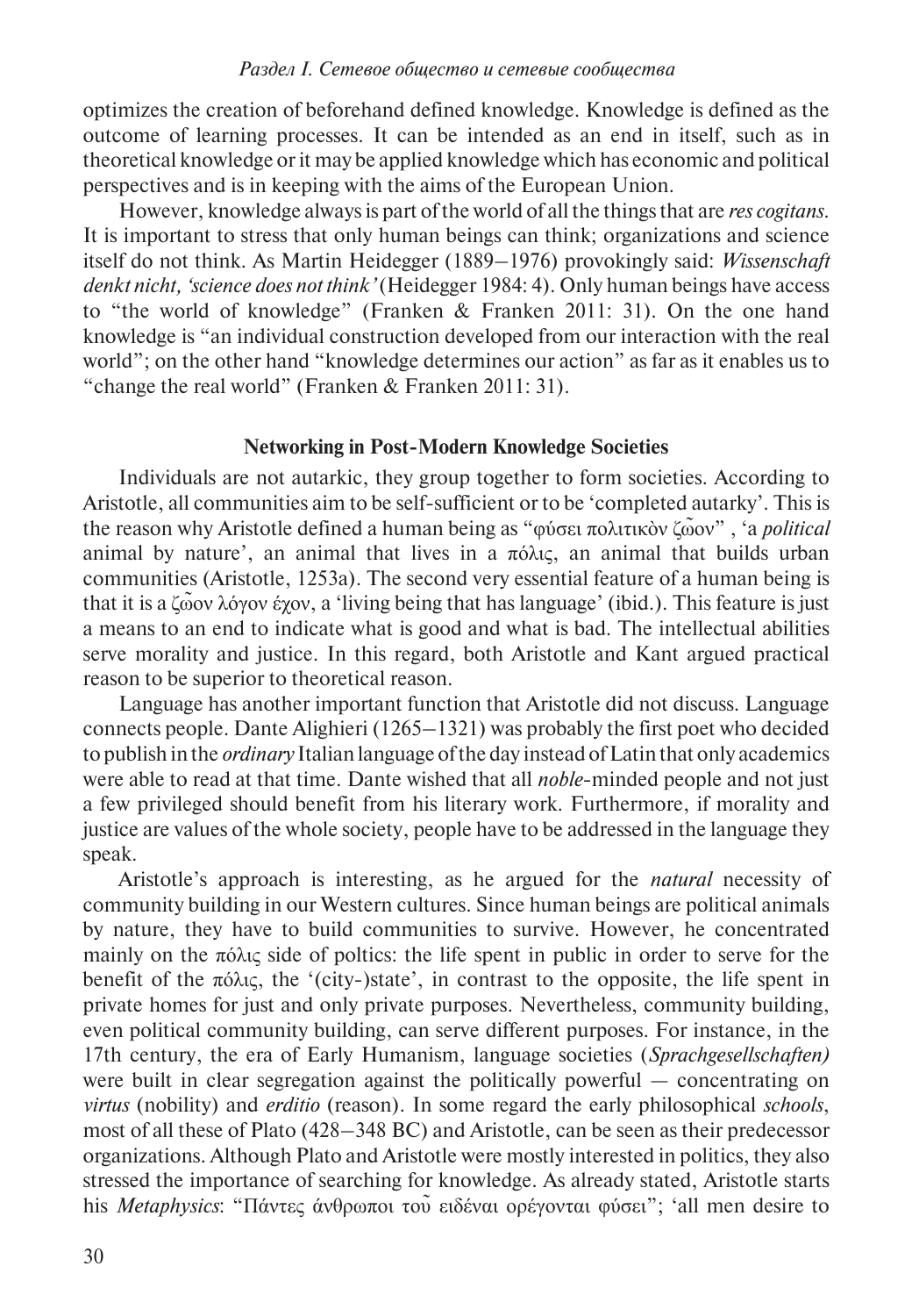optimizes the creation of beforehand defined knowledge. Knowledge is defined as the outcome of learning processes. It can be intended as an end in itself, such as in theoretical knowledge or it may be applied knowledge which has economic and political perspectives and is in keeping with the aims of the European Union.

However, knowledge always is part of the world of all the things that are *res cogitans*. It is important to stress that only human beings can think; organizations and science itself do not think. As Martin Heidegger (1889–1976) provokingly said: *Wissenschaft denkt nicht, 'science does not think'* (Heidegger 1984: 4). Only human beings have access to "the world of knowledge" (Franken & Franken 2011: 31). On the one hand knowledge is "an individual construction developed from our interaction with the real world"; on the other hand "knowledge determines our action" as far as it enables us to "change the real world" (Franken & Franken 2011: 31).

#### **Networking in Post-Modern Knowledge Societies**

Individuals are not autarkic, they group together to form societies. According to Aristotle, all communities aim to be self-sufficient or to be 'completed autarky'. This is the reason why Aristotle defined a human being as "φύσει πολιτικὸν ζω̃ον" , 'a *political* animal by nature', an animal that lives in a  $\pi \delta \lambda$ ις, an animal that builds urban communities (Aristotle, 1253a). The second very essential feature of a human being is that it is a ζω̃ον λόγον έχον, a 'living being that has language' (ibid.). This feature is just a means to an end to indicate what is good and what is bad. The intellectual abilities serve morality and justice. In this regard, both Aristotle and Kant argued practical reason to be superior to theoretical reason.

Language has another important function that Aristotle did not discuss. Language connects people. Dante Alighieri (1265–1321) was probably the first poet who decided to publish in the *ordinary* Italian language of the day instead of Latin that only academics were able to read at that time. Dante wished that all *noble*-minded people and not just a few privileged should benefit from his literary work. Furthermore, if morality and justice are values of the whole society, people have to be addressed in the language they speak.

Aristotle's approach is interesting, as he argued for the *natural* necessity of community building in our Western cultures. Since human beings are political animals by nature, they have to build communities to survive. However, he concentrated mainly on the πόλις side of poltics: the life spent in public in order to serve for the benefit of the πόλις, the '(city-)state', in contrast to the opposite, the life spent in private homes for just and only private purposes. Nevertheless, community building, even political community building, can serve different purposes. For instance, in the 17th century, the era of Early Humanism, language societies (*Sprachgesellschaften)* were built in clear segregation against the politically powerful — concentrating on *virtus* (nobility) and *erditio* (reason). In some regard the early philosophical *schools*, most of all these of Plato (428–348 BC) and Aristotle, can be seen as their predecessor organizations. Although Plato and Aristotle were mostly interested in politics, they also stressed the importance of searching for knowledge. As already stated, Aristotle starts his *Metaphysics*: "Πάντες άνθρωποι του ειδέναι ορέγονται φύσει"; 'all men desire to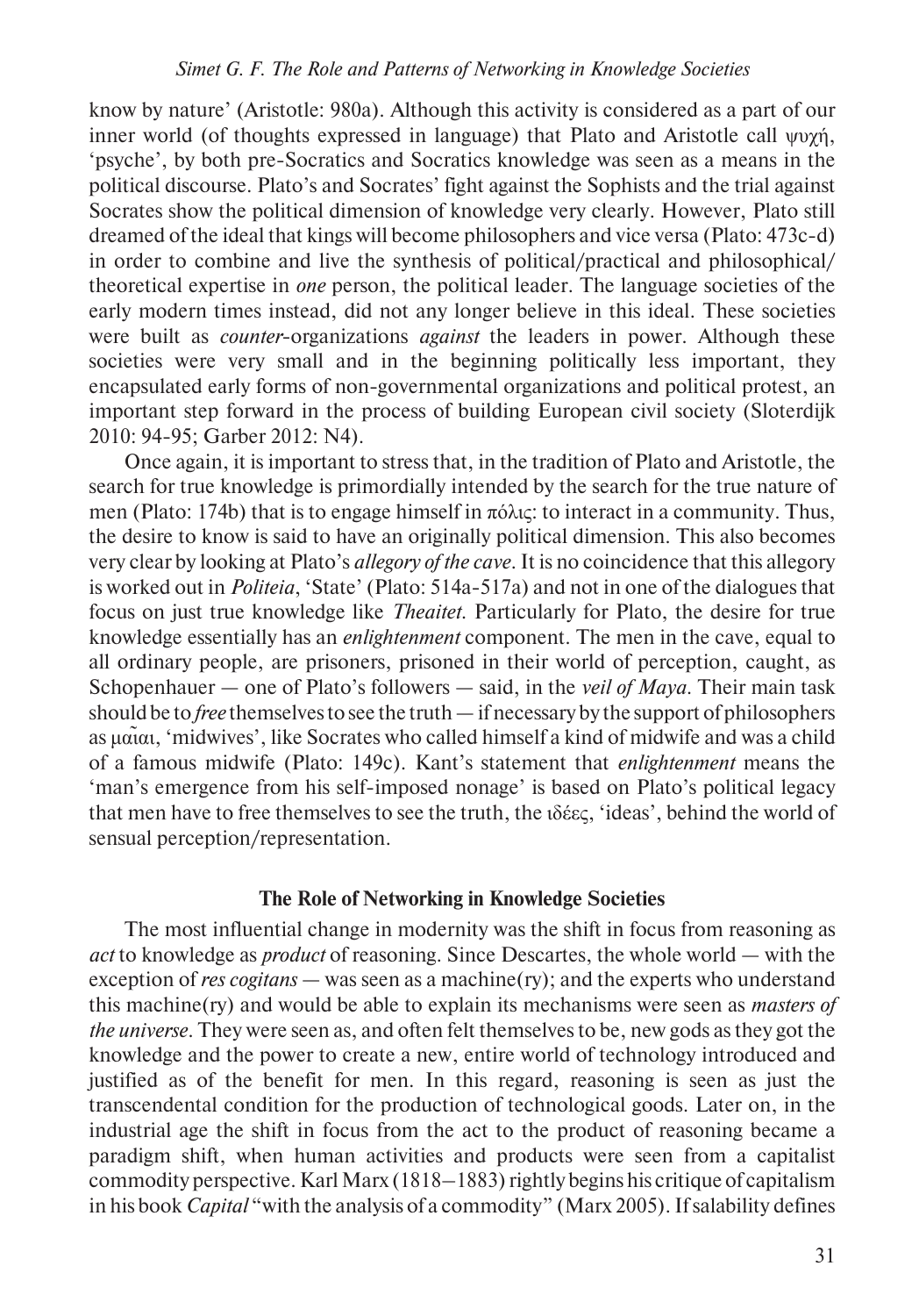know by nature' (Aristotle: 980a). Although this activity is considered as a part of our inner world (of thoughts expressed in language) that Plato and Aristotle call ψυχή, 'psyche', by both pre-Socratics and Socratics knowledge was seen as a means in the political discourse. Plato's and Socrates' fight against the Sophists and the trial against Socrates show the political dimension of knowledge very clearly. However, Plato still dreamed of the ideal that kings will become philosophers and vice versa (Plato: 473c-d) in order to combine and live the synthesis of political/practical and philosophical/ theoretical expertise in *one* person, the political leader. The language societies of the early modern times instead, did not any longer believe in this ideal. These societies were built as *counter*-organizations *against* the leaders in power. Although these societies were very small and in the beginning politically less important, they encapsulated early forms of non-governmental organizations and political protest, an important step forward in the process of building European civil society (Sloterdijk 2010: 94-95; Garber 2012: N4).

Once again, it is important to stress that, in the tradition of Plato and Aristotle, the search for true knowledge is primordially intended by the search for the true nature of men (Plato: 174b) that is to engage himself in πόλις: to interact in a community. Thus, the desire to know is said to have an originally political dimension. This also becomes very clear by looking at Plato's *allegory of the cave*. It is no coincidence that this allegory is worked out in *Politeia*, 'State' (Plato: 514a-517a) and not in one of the dialogues that focus on just true knowledge like *Theaitet*. Particularly for Plato, the desire for true knowledge essentially has an *enlightenment* component. The men in the cave, equal to all ordinary people, are prisoners, prisoned in their world of perception, caught, as Schopenhauer — one of Plato's followers — said, in the *veil of Maya*. Their main task should be to *free* themselves to see the truth — if necessary by the support of philosophers as μαι̃αι, 'midwives', like Socrates who called himself a kind of midwife and was a child of a famous midwife (Plato: 149c). Kant's statement that *enlightenment* means the 'man's emergence from his self-imposed nonage' is based on Plato's political legacy that men have to free themselves to see the truth, the ιδέες, 'ideas', behind the world of sensual perception/representation.

## **The Role of Networking in Knowledge Societies**

The most influential change in modernity was the shift in focus from reasoning as *act* to knowledge as *product* of reasoning. Since Descartes, the whole world — with the exception of *res cogitans* — was seen as a machine(ry); and the experts who understand this machine(ry) and would be able to explain its mechanisms were seen as *masters of the universe*. They were seen as, and often felt themselves to be, new gods as they got the knowledge and the power to create a new, entire world of technology introduced and justified as of the benefit for men. In this regard, reasoning is seen as just the transcendental condition for the production of technological goods. Later on, in the industrial age the shift in focus from the act to the product of reasoning became a paradigm shift, when human activities and products were seen from a capitalist commodity perspective. Karl Marx (1818–1883) rightly begins his critique of capitalism in his book *Capital* "with the analysis of a commodity" (Marx 2005). If salability defines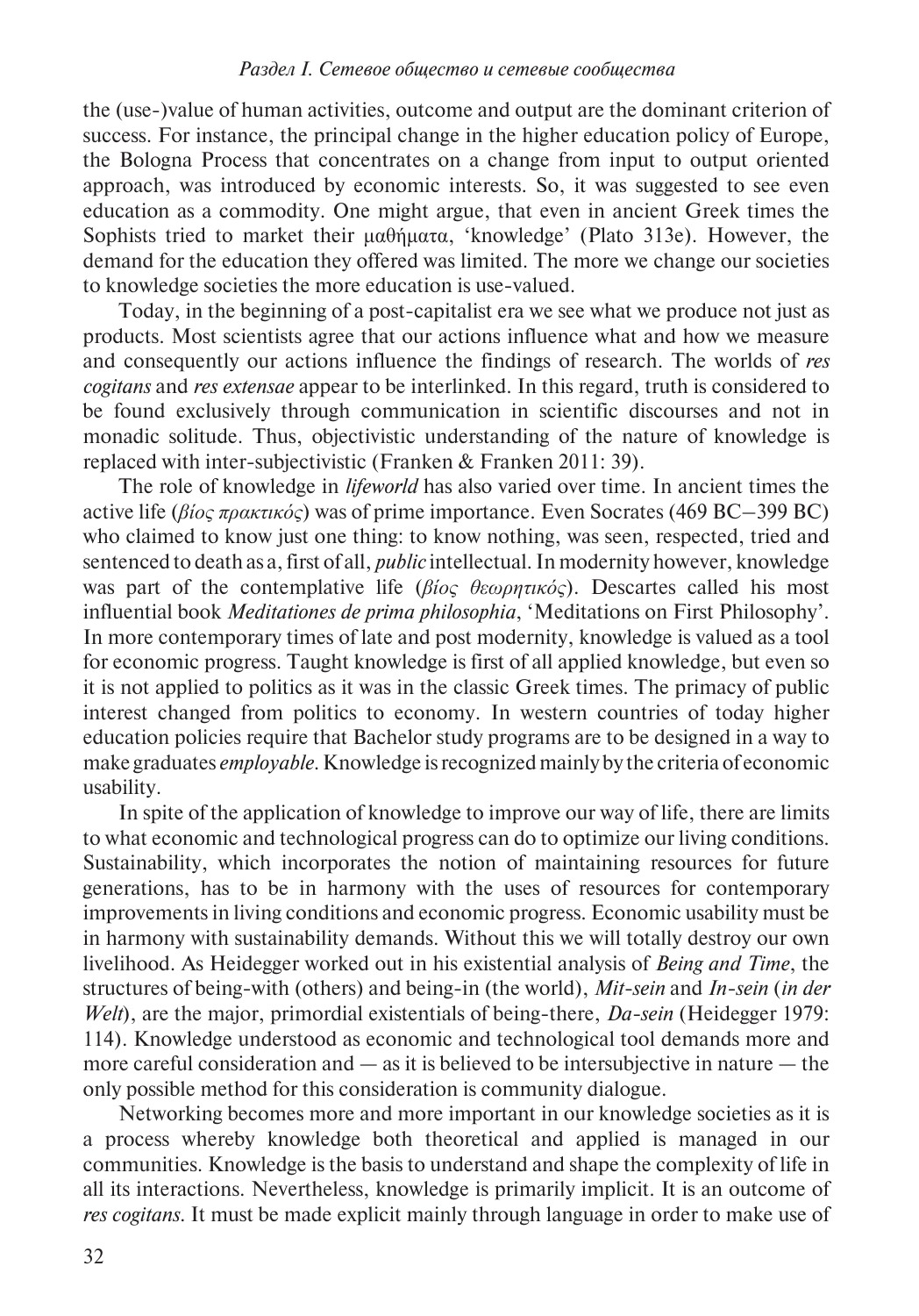the (use-)value of human activities, outcome and output are the dominant criterion of success. For instance, the principal change in the higher education policy of Europe, the Bologna Process that concentrates on a change from input to output oriented approach, was introduced by economic interests. So, it was suggested to see even education as a commodity. One might argue, that even in ancient Greek times the Sophists tried to market their μαθήματα, 'knowledge' (Plato 313e). However, the demand for the education they offered was limited. The more we change our societies to knowledge societies the more education is use-valued.

Today, in the beginning of a post-capitalist era we see what we produce not just as products. Most scientists agree that our actions influence what and how we measure and consequently our actions influence the findings of research. The worlds of *res cogitans* and *res extensae* appear to be interlinked. In this regard, truth is considered to be found exclusively through communication in scientific discourses and not in monadic solitude. Thus, objectivistic understanding of the nature of knowledge is replaced with inter-subjectivistic (Franken & Franken 2011: 39).

The role of knowledge in *lifeworld* has also varied over time. In ancient times the active life (*βίος πρακτικός*) was of prime importance. Even Socrates (469 BC–399 BC) who claimed to know just one thing: to know nothing, was seen, respected, tried and sentenced to death as a, first of all, *public* intellectual. In modernity however, knowledge was part of the contemplative life (*βίος θεωρητικός*). Descartes called his most influential book *Meditationes de prima philosophia*, 'Meditations on First Philosophy'. In more contemporary times of late and post modernity, knowledge is valued as a tool for economic progress. Taught knowledge is first of all applied knowledge, but even so it is not applied to politics as it was in the classic Greek times. The primacy of public interest changed from politics to economy. In western countries of today higher education policies require that Bachelor study programs are to be designed in a way to make graduates *employable*. Knowledge is recognized mainly by the criteria of economic usability.

In spite of the application of knowledge to improve our way of life, there are limits to what economic and technological progress can do to optimize our living conditions. Sustainability, which incorporates the notion of maintaining resources for future generations, has to be in harmony with the uses of resources for contemporary improvements in living conditions and economic progress. Economic usability must be in harmony with sustainability demands. Without this we will totally destroy our own livelihood. As Heidegger worked out in his existential analysis of *Being and Time*, the structures of being-with (others) and being-in (the world), *Mit-sein* and *In-sein* (*in der Welt*), are the major, primordial existentials of being-there, *Da-sein* (Heidegger 1979: 114). Knowledge understood as economic and technological tool demands more and more careful consideration and  $-$  as it is believed to be intersubjective in nature  $-$  the only possible method for this consideration is community dialogue.

Networking becomes more and more important in our knowledge societies as it is a process whereby knowledge both theoretical and applied is managed in our communities. Knowledge is the basis to understand and shape the complexity of life in all its interactions. Nevertheless, knowledge is primarily implicit. It is an outcome of *res cogitans*. It must be made explicit mainly through language in order to make use of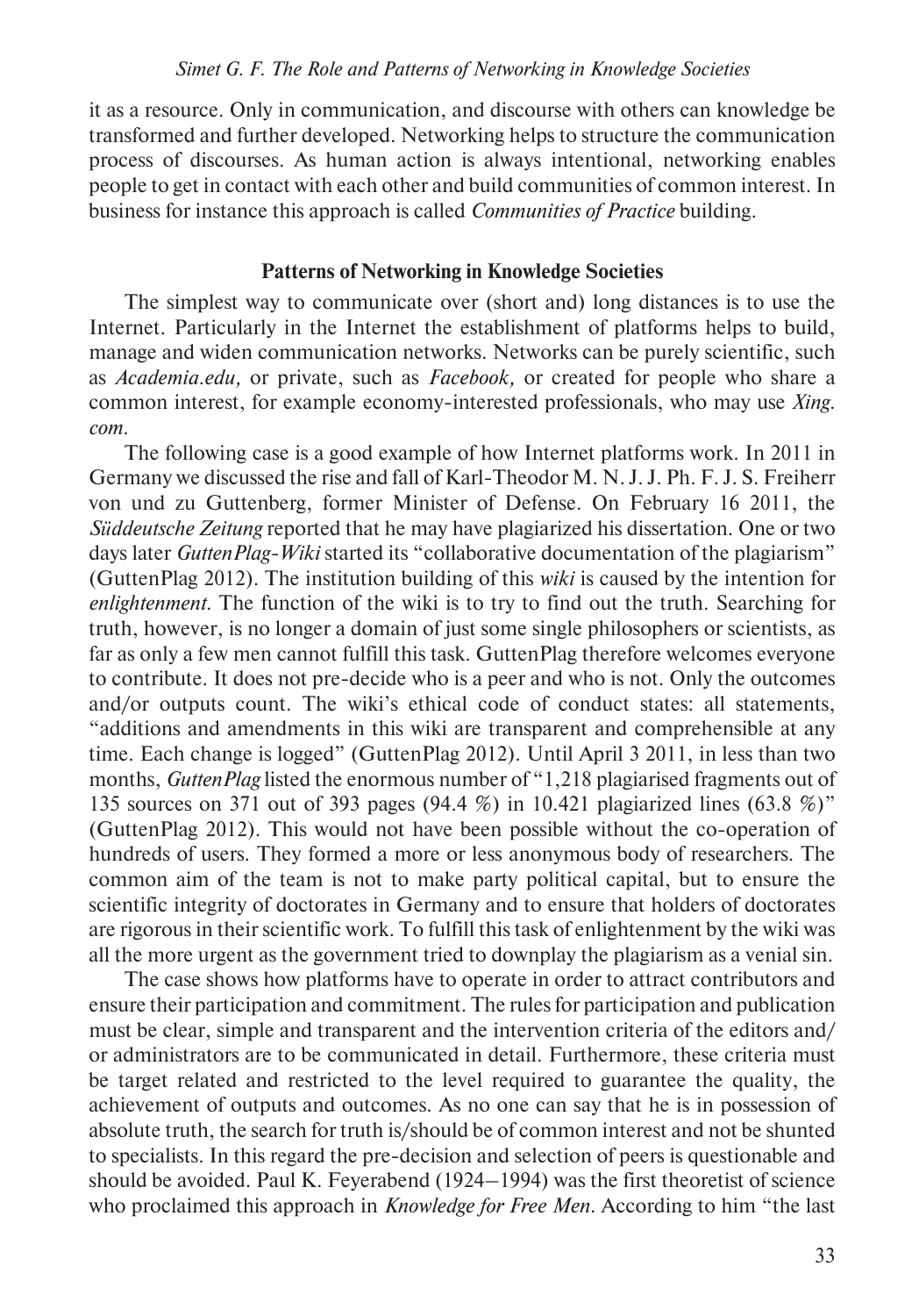it as a resource. Only in communication, and discourse with others can knowledge be transformed and further developed. Networking helps to structure the communication process of discourses. As human action is always intentional, networking enables people to get in contact with each other and build communities of common interest. In business for instance this approach is called *Communities of Practice* building.

# **Patterns of Networking in Knowledge Societies**

The simplest way to communicate over (short and) long distances is to use the Internet. Particularly in the Internet the establishment of platforms helps to build, manage and widen communication networks. Networks can be purely scientific, such as *Academia.edu,* or private, such as *Facebook,* or created for people who share a common interest, for example economy-interested professionals, who may use *Xing. com*.

The following case is a good example of how Internet platforms work. In 2011 in Germany we discussed the rise and fall of Karl-Theodor M. N. J. J. Ph. F. J. S. Freiherr von und zu Guttenberg, former Minister of Defense. On February 16 2011, the *Süddeutsche Zeitung* reported that he may have plagiarized his dissertation. One or two days later *GuttenPlag-Wiki* started its "collaborative documentation of the plagiarism" (GuttenPlag 2012). The institution building of this *wiki* is caused by the intention for *enlightenment*. The function of the wiki is to try to find out the truth. Searching for truth, however, is no longer a domain of just some single philosophers or scientists, as far as only a few men cannot fulfill this task. GuttenPlag therefore welcomes everyone to contribute. It does not pre-decide who is a peer and who is not. Only the outcomes and/or outputs count. The wiki's ethical code of conduct states: all statements, "additions and amendments in this wiki are transparent and comprehensible at any time. Each change is logged" (GuttenPlag 2012). Until April 3 2011, in less than two months, *GuttenPlag* listed the enormous number of "1,218 plagiarised fragments out of 135 sources on 371 out of 393 pages (94.4 %) in 10.421 plagiarized lines (63.8 %)" (GuttenPlag 2012). This would not have been possible without the co-operation of hundreds of users. They formed a more or less anonymous body of researchers. The common aim of the team is not to make party political capital, but to ensure the scientific integrity of doctorates in Germany and to ensure that holders of doctorates are rigorous in their scientific work. To fulfill this task of enlightenment by the wiki was all the more urgent as the government tried to downplay the plagiarism as a venial sin.

The case shows how platforms have to operate in order to attract contributors and ensure their participation and commitment. The rules for participation and publication must be clear, simple and transparent and the intervention criteria of the editors and/ or administrators are to be communicated in detail. Furthermore, these criteria must be target related and restricted to the level required to guarantee the quality, the achievement of outputs and outcomes. As no one can say that he is in possession of absolute truth, the search for truth is/should be of common interest and not be shunted to specialists. In this regard the pre-decision and selection of peers is questionable and should be avoided. Paul K. Feyerabend (1924–1994) was the first theoretist of science who proclaimed this approach in *Knowledge for Free Men*. According to him "the last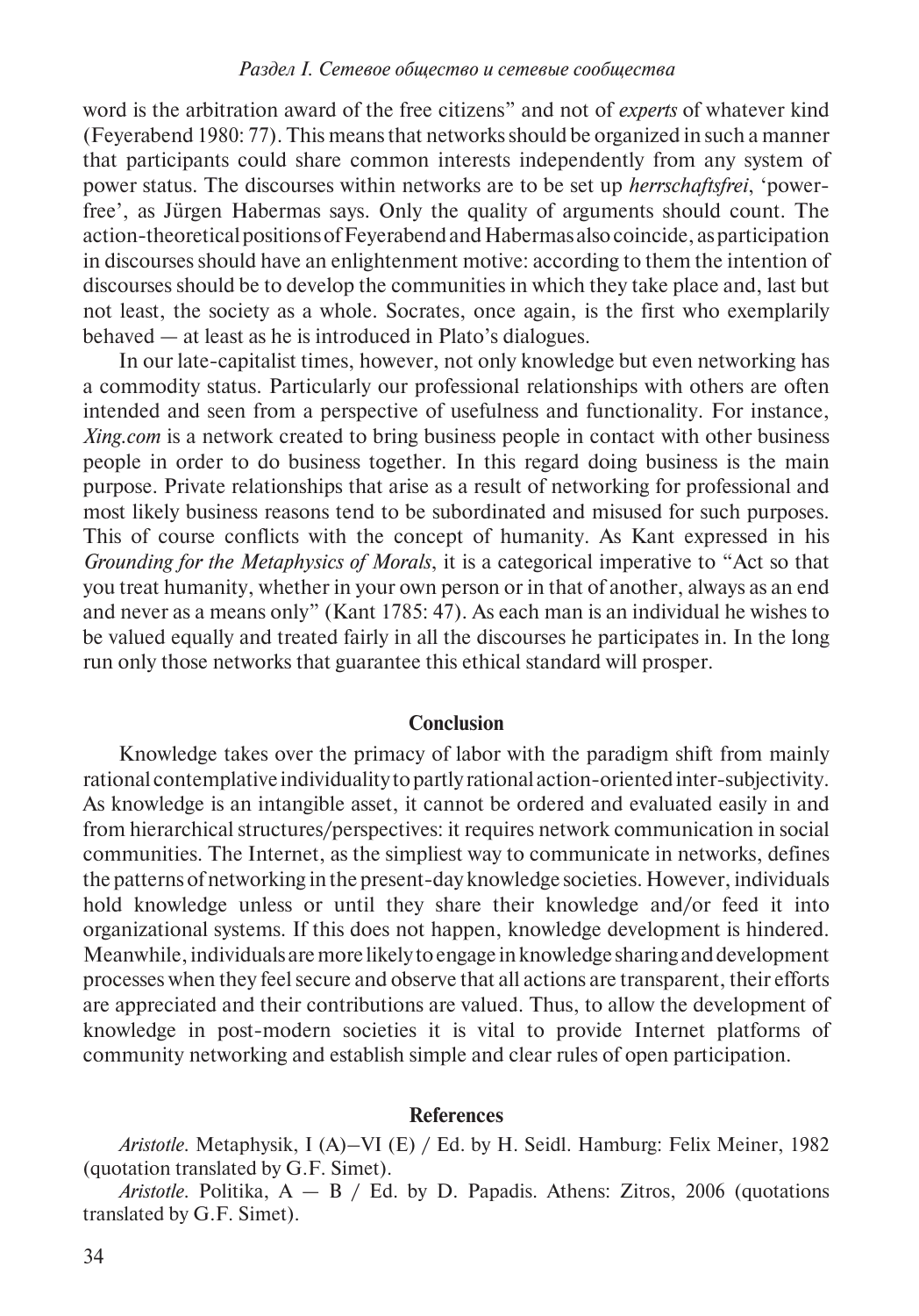word is the arbitration award of the free citizens" and not of *experts* of whatever kind (Feyerabend 1980: 77). This means that networks should be organized in such a manner that participants could share common interests independently from any system of power status. The discourses within networks are to be set up *herrschaftsfrei*, 'powerfree', as Jürgen Habermas says. Only the quality of arguments should count. The action-theoretical positions of Feyerabend and Habermas also coincide, as participation in discourses should have an enlightenment motive: according to them the intention of discourses should be to develop the communities in which they take place and, last but not least, the society as a whole. Socrates, once again, is the first who exemplarily behaved — at least as he is introduced in Plato's dialogues.

In our late-capitalist times, however, not only knowledge but even networking has a commodity status. Particularly our professional relationships with others are often intended and seen from a perspective of usefulness and functionality. For instance, *Xing.com* is a network created to bring business people in contact with other business people in order to do business together. In this regard doing business is the main purpose. Private relationships that arise as a result of networking for professional and most likely business reasons tend to be subordinated and misused for such purposes. This of course conflicts with the concept of humanity. As Kant expressed in his *Grounding for the Metaphysics of Morals*, it is a categorical imperative to "Act so that you treat humanity, whether in your own person or in that of another, always as an end and never as a means only" (Kant 1785: 47). As each man is an individual he wishes to be valued equally and treated fairly in all the discourses he participates in. In the long run only those networks that guarantee this ethical standard will prosper.

## **Conclusion**

Knowledge takes over the primacy of labor with the paradigm shift from mainly rational contemplative individuality to partly rational action-oriented inter-subjectivity. As knowledge is an intangible asset, it cannot be ordered and evaluated easily in and from hierarchical structures/perspectives: it requires network communication in social communities. The Internet, as the simpliest way to communicate in networks, defines the patterns of networking in the present-day knowledge societies. However, individuals hold knowledge unless or until they share their knowledge and/or feed it into organizational systems. If this does not happen, knowledge development is hindered. Meanwhile, individuals are more likely to engage in knowledge sharing and development processes when they feel secure and observe that all actions are transparent, their efforts are appreciated and their contributions are valued. Thus, to allow the development of knowledge in post-modern societies it is vital to provide Internet platforms of community networking and establish simple and clear rules of open participation.

#### **References**

*Aristotle*. Metaphysik, I (A)–VI (E) / Ed. by H. Seidl. Hamburg: Felix Meiner, 1982 (quotation translated by G.F. Simet).

*Aristotle*. Politika, A — B / Ed. by D. Papadis. Athens: Zitros, 2006 (quotations translated by G.F. Simet).